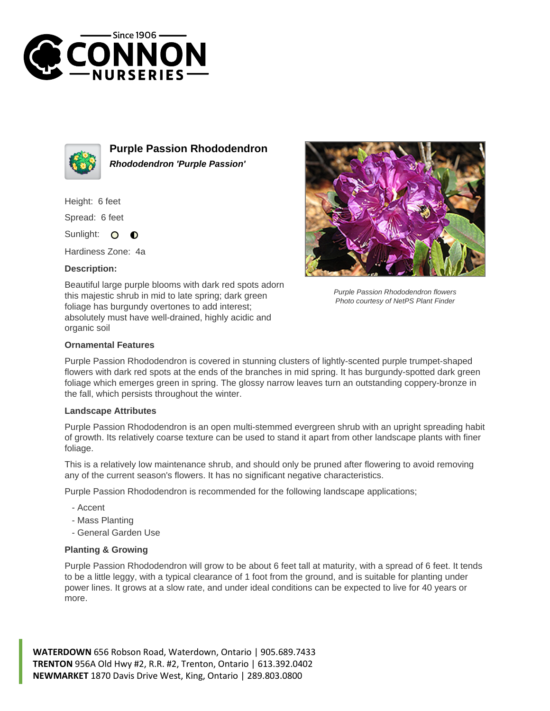



**Purple Passion Rhododendron Rhododendron 'Purple Passion'**

Height: 6 feet

Spread: 6 feet

Sunlight:  $\circ$  $\bullet$ 

Hardiness Zone: 4a

## **Description:**

Beautiful large purple blooms with dark red spots adorn this majestic shrub in mid to late spring; dark green foliage has burgundy overtones to add interest; absolutely must have well-drained, highly acidic and organic soil



Purple Passion Rhododendron flowers Photo courtesy of NetPS Plant Finder

## **Ornamental Features**

Purple Passion Rhododendron is covered in stunning clusters of lightly-scented purple trumpet-shaped flowers with dark red spots at the ends of the branches in mid spring. It has burgundy-spotted dark green foliage which emerges green in spring. The glossy narrow leaves turn an outstanding coppery-bronze in the fall, which persists throughout the winter.

## **Landscape Attributes**

Purple Passion Rhododendron is an open multi-stemmed evergreen shrub with an upright spreading habit of growth. Its relatively coarse texture can be used to stand it apart from other landscape plants with finer foliage.

This is a relatively low maintenance shrub, and should only be pruned after flowering to avoid removing any of the current season's flowers. It has no significant negative characteristics.

Purple Passion Rhododendron is recommended for the following landscape applications;

- Accent
- Mass Planting
- General Garden Use

## **Planting & Growing**

Purple Passion Rhododendron will grow to be about 6 feet tall at maturity, with a spread of 6 feet. It tends to be a little leggy, with a typical clearance of 1 foot from the ground, and is suitable for planting under power lines. It grows at a slow rate, and under ideal conditions can be expected to live for 40 years or more.

**WATERDOWN** 656 Robson Road, Waterdown, Ontario | 905.689.7433 **TRENTON** 956A Old Hwy #2, R.R. #2, Trenton, Ontario | 613.392.0402 **NEWMARKET** 1870 Davis Drive West, King, Ontario | 289.803.0800